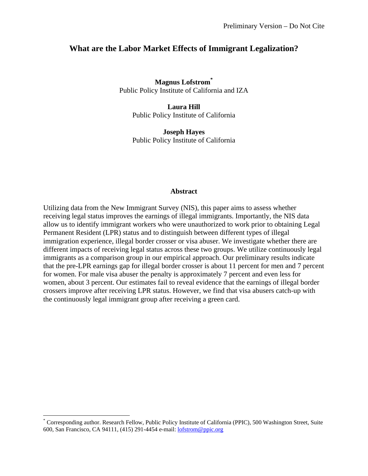## **What are the Labor Market Effects of Immigrant Legalization?**

**Magnus Lofstrom\*** Public Policy Institute of California and IZA

> **Laura Hill**  Public Policy Institute of California

> **Joseph Hayes**  Public Policy Institute of California

#### **Abstract**

Utilizing data from the New Immigrant Survey (NIS), this paper aims to assess whether receiving legal status improves the earnings of illegal immigrants. Importantly, the NIS data allow us to identify immigrant workers who were unauthorized to work prior to obtaining Legal Permanent Resident (LPR) status and to distinguish between different types of illegal immigration experience, illegal border crosser or visa abuser. We investigate whether there are different impacts of receiving legal status across these two groups. We utilize continuously legal immigrants as a comparison group in our empirical approach. Our preliminary results indicate that the pre-LPR earnings gap for illegal border crosser is about 11 percent for men and 7 percent for women. For male visa abuser the penalty is approximately 7 percent and even less for women, about 3 percent. Our estimates fail to reveal evidence that the earnings of illegal border crossers improve after receiving LPR status. However, we find that visa abusers catch-up with the continuously legal immigrant group after receiving a green card.

 $\overline{a}$ 

<sup>\*</sup> Corresponding author. Research Fellow, Public Policy Institute of California (PPIC), 500 Washington Street, Suite 600, San Francisco, CA 94111, (415) 291-4454 e-mail: lofstrom@ppic.org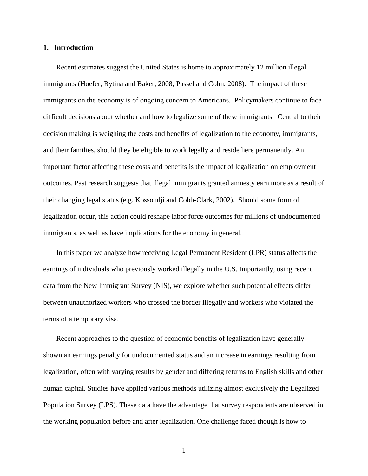#### **1. Introduction**

Recent estimates suggest the United States is home to approximately 12 million illegal immigrants (Hoefer, Rytina and Baker, 2008; Passel and Cohn, 2008). The impact of these immigrants on the economy is of ongoing concern to Americans. Policymakers continue to face difficult decisions about whether and how to legalize some of these immigrants. Central to their decision making is weighing the costs and benefits of legalization to the economy, immigrants, and their families, should they be eligible to work legally and reside here permanently. An important factor affecting these costs and benefits is the impact of legalization on employment outcomes. Past research suggests that illegal immigrants granted amnesty earn more as a result of their changing legal status (e.g. Kossoudji and Cobb-Clark, 2002). Should some form of legalization occur, this action could reshape labor force outcomes for millions of undocumented immigrants, as well as have implications for the economy in general.

In this paper we analyze how receiving Legal Permanent Resident (LPR) status affects the earnings of individuals who previously worked illegally in the U.S. Importantly, using recent data from the New Immigrant Survey (NIS), we explore whether such potential effects differ between unauthorized workers who crossed the border illegally and workers who violated the terms of a temporary visa.

Recent approaches to the question of economic benefits of legalization have generally shown an earnings penalty for undocumented status and an increase in earnings resulting from legalization, often with varying results by gender and differing returns to English skills and other human capital. Studies have applied various methods utilizing almost exclusively the Legalized Population Survey (LPS). These data have the advantage that survey respondents are observed in the working population before and after legalization. One challenge faced though is how to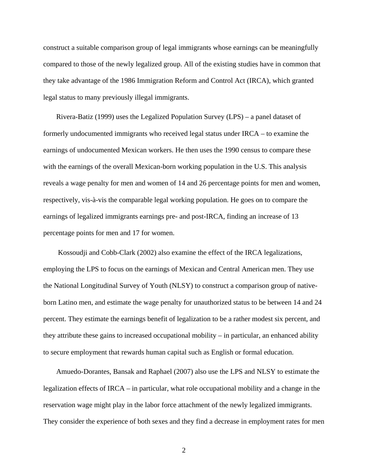construct a suitable comparison group of legal immigrants whose earnings can be meaningfully compared to those of the newly legalized group. All of the existing studies have in common that they take advantage of the 1986 Immigration Reform and Control Act (IRCA), which granted legal status to many previously illegal immigrants.

Rivera-Batiz (1999) uses the Legalized Population Survey (LPS) – a panel dataset of formerly undocumented immigrants who received legal status under IRCA – to examine the earnings of undocumented Mexican workers. He then uses the 1990 census to compare these with the earnings of the overall Mexican-born working population in the U.S. This analysis reveals a wage penalty for men and women of 14 and 26 percentage points for men and women, respectively, vis-à-vis the comparable legal working population. He goes on to compare the earnings of legalized immigrants earnings pre- and post-IRCA, finding an increase of 13 percentage points for men and 17 for women.

 Kossoudji and Cobb-Clark (2002) also examine the effect of the IRCA legalizations, employing the LPS to focus on the earnings of Mexican and Central American men. They use the National Longitudinal Survey of Youth (NLSY) to construct a comparison group of nativeborn Latino men, and estimate the wage penalty for unauthorized status to be between 14 and 24 percent. They estimate the earnings benefit of legalization to be a rather modest six percent, and they attribute these gains to increased occupational mobility – in particular, an enhanced ability to secure employment that rewards human capital such as English or formal education.

Amuedo-Dorantes, Bansak and Raphael (2007) also use the LPS and NLSY to estimate the legalization effects of IRCA – in particular, what role occupational mobility and a change in the reservation wage might play in the labor force attachment of the newly legalized immigrants. They consider the experience of both sexes and they find a decrease in employment rates for men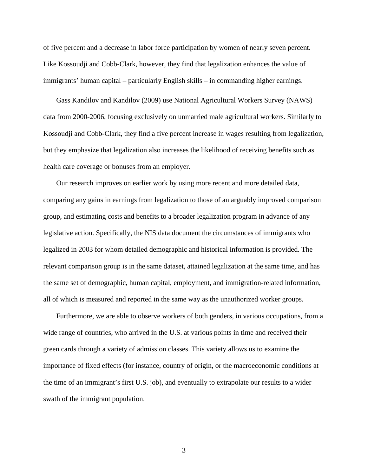of five percent and a decrease in labor force participation by women of nearly seven percent. Like Kossoudji and Cobb-Clark, however, they find that legalization enhances the value of immigrants' human capital – particularly English skills – in commanding higher earnings.

Gass Kandilov and Kandilov (2009) use National Agricultural Workers Survey (NAWS) data from 2000-2006, focusing exclusively on unmarried male agricultural workers. Similarly to Kossoudji and Cobb-Clark, they find a five percent increase in wages resulting from legalization, but they emphasize that legalization also increases the likelihood of receiving benefits such as health care coverage or bonuses from an employer.

Our research improves on earlier work by using more recent and more detailed data, comparing any gains in earnings from legalization to those of an arguably improved comparison group, and estimating costs and benefits to a broader legalization program in advance of any legislative action. Specifically, the NIS data document the circumstances of immigrants who legalized in 2003 for whom detailed demographic and historical information is provided. The relevant comparison group is in the same dataset, attained legalization at the same time, and has the same set of demographic, human capital, employment, and immigration-related information, all of which is measured and reported in the same way as the unauthorized worker groups.

Furthermore, we are able to observe workers of both genders, in various occupations, from a wide range of countries, who arrived in the U.S. at various points in time and received their green cards through a variety of admission classes. This variety allows us to examine the importance of fixed effects (for instance, country of origin, or the macroeconomic conditions at the time of an immigrant's first U.S. job), and eventually to extrapolate our results to a wider swath of the immigrant population.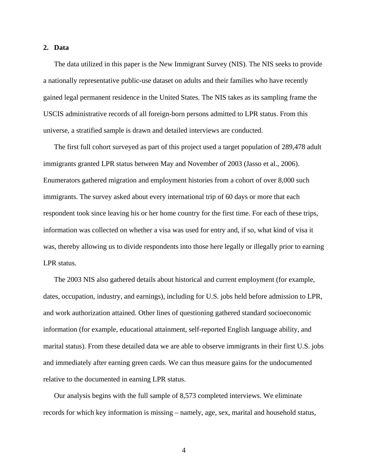#### **2. Data**

The data utilized in this paper is the New Immigrant Survey (NIS). The NIS seeks to provide a nationally representative public-use dataset on adults and their families who have recently gained legal permanent residence in the United States. The NIS takes as its sampling frame the USCIS administrative records of all foreign-born persons admitted to LPR status. From this universe, a stratified sample is drawn and detailed interviews are conducted.

The first full cohort surveyed as part of this project used a target population of 289,478 adult immigrants granted LPR status between May and November of 2003 (Jasso et al., 2006). Enumerators gathered migration and employment histories from a cohort of over 8,000 such immigrants. The survey asked about every international trip of 60 days or more that each respondent took since leaving his or her home country for the first time. For each of these trips, information was collected on whether a visa was used for entry and, if so, what kind of visa it was, thereby allowing us to divide respondents into those here legally or illegally prior to earning LPR status.

The 2003 NIS also gathered details about historical and current employment (for example, dates, occupation, industry, and earnings), including for U.S. jobs held before admission to LPR, and work authorization attained. Other lines of questioning gathered standard socioeconomic information (for example, educational attainment, self-reported English language ability, and marital status). From these detailed data we are able to observe immigrants in their first U.S. jobs and immediately after earning green cards. We can thus measure gains for the undocumented relative to the documented in earning LPR status.

Our analysis begins with the full sample of 8,573 completed interviews. We eliminate records for which key information is missing – namely, age, sex, marital and household status,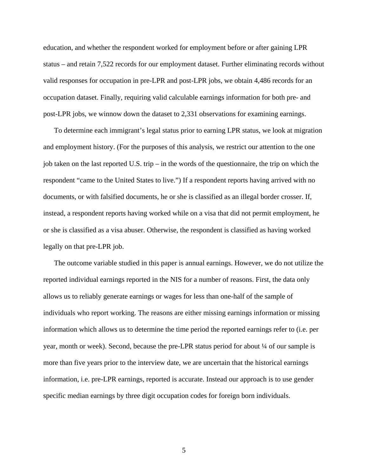education, and whether the respondent worked for employment before or after gaining LPR status – and retain 7,522 records for our employment dataset. Further eliminating records without valid responses for occupation in pre-LPR and post-LPR jobs, we obtain 4,486 records for an occupation dataset. Finally, requiring valid calculable earnings information for both pre- and post-LPR jobs, we winnow down the dataset to 2,331 observations for examining earnings.

To determine each immigrant's legal status prior to earning LPR status, we look at migration and employment history. (For the purposes of this analysis, we restrict our attention to the one job taken on the last reported U.S. trip – in the words of the questionnaire, the trip on which the respondent "came to the United States to live.") If a respondent reports having arrived with no documents, or with falsified documents, he or she is classified as an illegal border crosser. If, instead, a respondent reports having worked while on a visa that did not permit employment, he or she is classified as a visa abuser. Otherwise, the respondent is classified as having worked legally on that pre-LPR job.

The outcome variable studied in this paper is annual earnings. However, we do not utilize the reported individual earnings reported in the NIS for a number of reasons. First, the data only allows us to reliably generate earnings or wages for less than one-half of the sample of individuals who report working. The reasons are either missing earnings information or missing information which allows us to determine the time period the reported earnings refer to (i.e. per year, month or week). Second, because the pre-LPR status period for about ¼ of our sample is more than five years prior to the interview date, we are uncertain that the historical earnings information, i.e. pre-LPR earnings, reported is accurate. Instead our approach is to use gender specific median earnings by three digit occupation codes for foreign born individuals.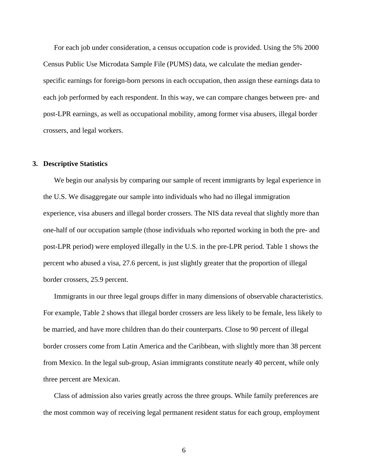For each job under consideration, a census occupation code is provided. Using the 5% 2000 Census Public Use Microdata Sample File (PUMS) data, we calculate the median genderspecific earnings for foreign-born persons in each occupation, then assign these earnings data to each job performed by each respondent. In this way, we can compare changes between pre- and post-LPR earnings, as well as occupational mobility, among former visa abusers, illegal border crossers, and legal workers.

#### **3. Descriptive Statistics**

We begin our analysis by comparing our sample of recent immigrants by legal experience in the U.S. We disaggregate our sample into individuals who had no illegal immigration experience, visa abusers and illegal border crossers. The NIS data reveal that slightly more than one-half of our occupation sample (those individuals who reported working in both the pre- and post-LPR period) were employed illegally in the U.S. in the pre-LPR period. Table 1 shows the percent who abused a visa, 27.6 percent, is just slightly greater that the proportion of illegal border crossers, 25.9 percent.

Immigrants in our three legal groups differ in many dimensions of observable characteristics. For example, Table 2 shows that illegal border crossers are less likely to be female, less likely to be married, and have more children than do their counterparts. Close to 90 percent of illegal border crossers come from Latin America and the Caribbean, with slightly more than 38 percent from Mexico. In the legal sub-group, Asian immigrants constitute nearly 40 percent, while only three percent are Mexican.

Class of admission also varies greatly across the three groups. While family preferences are the most common way of receiving legal permanent resident status for each group, employment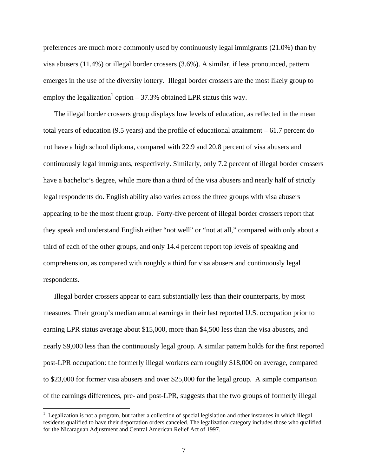preferences are much more commonly used by continuously legal immigrants (21.0%) than by visa abusers (11.4%) or illegal border crossers (3.6%). A similar, if less pronounced, pattern emerges in the use of the diversity lottery. Illegal border crossers are the most likely group to employ the legalization<sup>1</sup> option  $-37.3\%$  obtained LPR status this way.

The illegal border crossers group displays low levels of education, as reflected in the mean total years of education (9.5 years) and the profile of educational attainment – 61.7 percent do not have a high school diploma, compared with 22.9 and 20.8 percent of visa abusers and continuously legal immigrants, respectively. Similarly, only 7.2 percent of illegal border crossers have a bachelor's degree, while more than a third of the visa abusers and nearly half of strictly legal respondents do. English ability also varies across the three groups with visa abusers appearing to be the most fluent group. Forty-five percent of illegal border crossers report that they speak and understand English either "not well" or "not at all," compared with only about a third of each of the other groups, and only 14.4 percent report top levels of speaking and comprehension, as compared with roughly a third for visa abusers and continuously legal respondents.

Illegal border crossers appear to earn substantially less than their counterparts, by most measures. Their group's median annual earnings in their last reported U.S. occupation prior to earning LPR status average about \$15,000, more than \$4,500 less than the visa abusers, and nearly \$9,000 less than the continuously legal group. A similar pattern holds for the first reported post-LPR occupation: the formerly illegal workers earn roughly \$18,000 on average, compared to \$23,000 for former visa abusers and over \$25,000 for the legal group. A simple comparison of the earnings differences, pre- and post-LPR, suggests that the two groups of formerly illegal

 $\overline{a}$ 

<sup>&</sup>lt;sup>1</sup> Legalization is not a program, but rather a collection of special legislation and other instances in which illegal residents qualified to have their deportation orders canceled. The legalization category includes those who qualified for the Nicaraguan Adjustment and Central American Relief Act of 1997.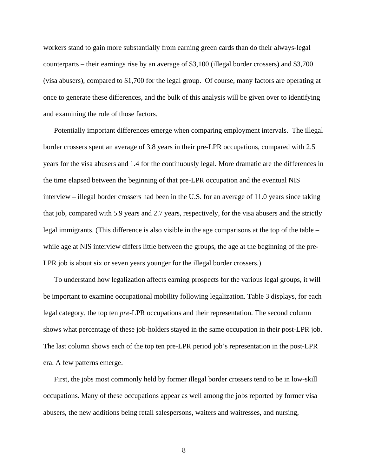workers stand to gain more substantially from earning green cards than do their always-legal counterparts – their earnings rise by an average of \$3,100 (illegal border crossers) and \$3,700 (visa abusers), compared to \$1,700 for the legal group. Of course, many factors are operating at once to generate these differences, and the bulk of this analysis will be given over to identifying and examining the role of those factors.

Potentially important differences emerge when comparing employment intervals. The illegal border crossers spent an average of 3.8 years in their pre-LPR occupations, compared with 2.5 years for the visa abusers and 1.4 for the continuously legal. More dramatic are the differences in the time elapsed between the beginning of that pre-LPR occupation and the eventual NIS interview – illegal border crossers had been in the U.S. for an average of 11.0 years since taking that job, compared with 5.9 years and 2.7 years, respectively, for the visa abusers and the strictly legal immigrants. (This difference is also visible in the age comparisons at the top of the table – while age at NIS interview differs little between the groups, the age at the beginning of the pre-LPR job is about six or seven years younger for the illegal border crossers.)

To understand how legalization affects earning prospects for the various legal groups, it will be important to examine occupational mobility following legalization. Table 3 displays, for each legal category, the top ten *pre*-LPR occupations and their representation. The second column shows what percentage of these job-holders stayed in the same occupation in their post-LPR job. The last column shows each of the top ten pre-LPR period job's representation in the post-LPR era. A few patterns emerge.

First, the jobs most commonly held by former illegal border crossers tend to be in low-skill occupations. Many of these occupations appear as well among the jobs reported by former visa abusers, the new additions being retail salespersons, waiters and waitresses, and nursing,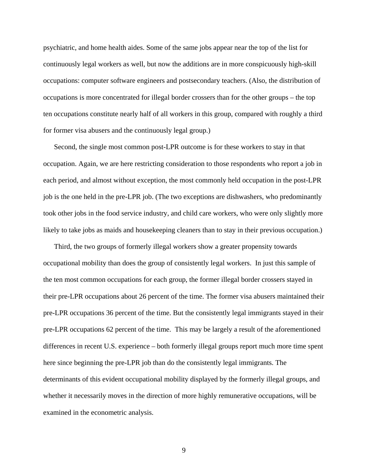psychiatric, and home health aides. Some of the same jobs appear near the top of the list for continuously legal workers as well, but now the additions are in more conspicuously high-skill occupations: computer software engineers and postsecondary teachers. (Also, the distribution of occupations is more concentrated for illegal border crossers than for the other groups – the top ten occupations constitute nearly half of all workers in this group, compared with roughly a third for former visa abusers and the continuously legal group.)

Second, the single most common post-LPR outcome is for these workers to stay in that occupation. Again, we are here restricting consideration to those respondents who report a job in each period, and almost without exception, the most commonly held occupation in the post-LPR job is the one held in the pre-LPR job. (The two exceptions are dishwashers, who predominantly took other jobs in the food service industry, and child care workers, who were only slightly more likely to take jobs as maids and housekeeping cleaners than to stay in their previous occupation.)

Third, the two groups of formerly illegal workers show a greater propensity towards occupational mobility than does the group of consistently legal workers. In just this sample of the ten most common occupations for each group, the former illegal border crossers stayed in their pre-LPR occupations about 26 percent of the time. The former visa abusers maintained their pre-LPR occupations 36 percent of the time. But the consistently legal immigrants stayed in their pre-LPR occupations 62 percent of the time. This may be largely a result of the aforementioned differences in recent U.S. experience – both formerly illegal groups report much more time spent here since beginning the pre-LPR job than do the consistently legal immigrants. The determinants of this evident occupational mobility displayed by the formerly illegal groups, and whether it necessarily moves in the direction of more highly remunerative occupations, will be examined in the econometric analysis.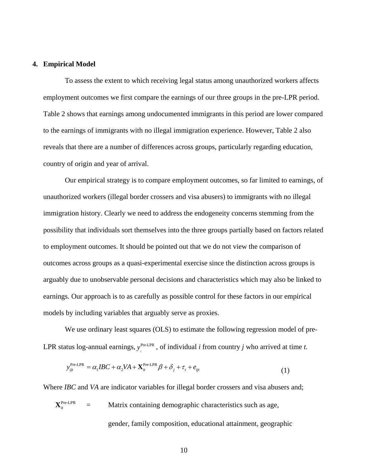#### **4. Empirical Model**

To assess the extent to which receiving legal status among unauthorized workers affects employment outcomes we first compare the earnings of our three groups in the pre-LPR period. Table 2 shows that earnings among undocumented immigrants in this period are lower compared to the earnings of immigrants with no illegal immigration experience. However, Table 2 also reveals that there are a number of differences across groups, particularly regarding education, country of origin and year of arrival.

Our empirical strategy is to compare employment outcomes, so far limited to earnings, of unauthorized workers (illegal border crossers and visa abusers) to immigrants with no illegal immigration history. Clearly we need to address the endogeneity concerns stemming from the possibility that individuals sort themselves into the three groups partially based on factors related to employment outcomes. It should be pointed out that we do not view the comparison of outcomes across groups as a quasi-experimental exercise since the distinction across groups is arguably due to unobservable personal decisions and characteristics which may also be linked to earnings. Our approach is to as carefully as possible control for these factors in our empirical models by including variables that arguably serve as proxies.

We use ordinary least squares (OLS) to estimate the following regression model of pre-LPR status log-annual earnings,  $y_i^{\text{Pre-LPR}}$ , of individual *i* from country *j* who arrived at time *t*.

$$
y_{ijt}^{\text{Pre-LPR}} = \alpha_1 I B C + \alpha_2 V A + \mathbf{X}_{it}^{\text{Pre-LPR}} \beta + \delta_j + \tau_t + e_{ijt}
$$
\n(1)

Where *IBC* and *VA* are indicator variables for illegal border crossers and visa abusers and;

 $X_{i}^{\text{Pre-LPR}}$  = Matrix containing demographic characteristics such as age, gender, family composition, educational attainment, geographic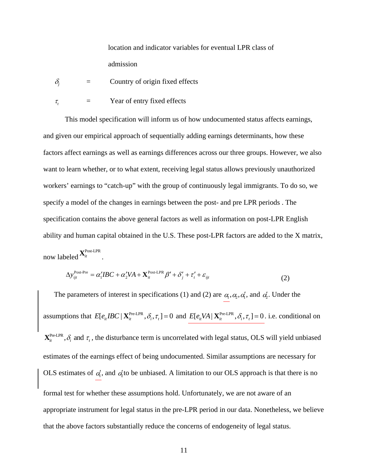location and indicator variables for eventual LPR class of admission

- $\delta$ <sub>i</sub> = Country of origin fixed effects
- $\tau$  = Year of entry fixed effects

This model specification will inform us of how undocumented status affects earnings, and given our empirical approach of sequentially adding earnings determinants, how these factors affect earnings as well as earnings differences across our three groups. However, we also want to learn whether, or to what extent, receiving legal status allows previously unauthorized workers' earnings to "catch-up" with the group of continuously legal immigrants. To do so, we specify a model of the changes in earnings between the post- and pre LPR periods . The specification contains the above general factors as well as information on post-LPR English ability and human capital obtained in the U.S. These post-LPR factors are added to the X matrix,

now labeled  $\mathbf{X}^{\text{Post-LPR}}_{it}$ .

$$
\Delta y_{ijt}^{\text{Post-Pre}} = \alpha_1' I B C + \alpha_2' V A + \mathbf{X}_{it}^{\text{Post-LPR}} \beta' + \delta_j' + \tau_i' + \varepsilon_{ijt}
$$
\n
$$
\tag{2}
$$

The parameters of interest in specifications (1) and (2) are  $\alpha_1, \alpha_2, \alpha'_1$ , and  $\alpha'_2$ . Under the assumptions that  $E[e_{it}ABC \mid \mathbf{X}_{it}^{\text{Pre-LPR}}, \delta_i, \tau_i] = 0$  and  $E[e_{it}VA \mid \mathbf{X}_{it}^{\text{Pre-LPR}}, \delta_i, \tau_i] = 0$ . i.e. conditional on  $\mathbf{X}_{i}^{\text{Pre-LPR}}, \delta_i$  and  $\tau_i$ , the disturbance term is uncorrelated with legal status, OLS will yield unbiased estimates of the earnings effect of being undocumented. Similar assumptions are necessary for OLS estimates of  $\alpha_1$ , and  $\alpha_2$  to be unbiased. A limitation to our OLS approach is that there is no formal test for whether these assumptions hold. Unfortunately, we are not aware of an appropriate instrument for legal status in the pre-LPR period in our data. Nonetheless, we believe that the above factors substantially reduce the concerns of endogeneity of legal status.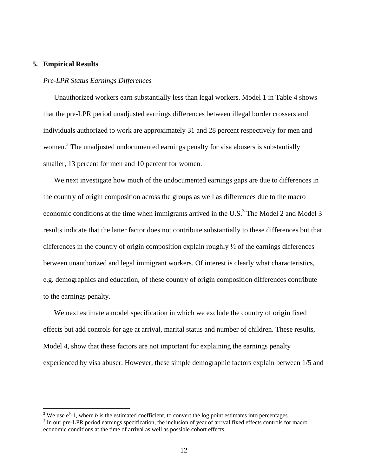#### **5. Empirical Results**

1

#### *Pre-LPR Status Earnings Differences*

Unauthorized workers earn substantially less than legal workers. Model 1 in Table 4 shows that the pre-LPR period unadjusted earnings differences between illegal border crossers and individuals authorized to work are approximately 31 and 28 percent respectively for men and women.<sup>2</sup> The unadjusted undocumented earnings penalty for visa abusers is substantially smaller, 13 percent for men and 10 percent for women.

We next investigate how much of the undocumented earnings gaps are due to differences in the country of origin composition across the groups as well as differences due to the macro economic conditions at the time when immigrants arrived in the U.S. $3$  The Model 2 and Model 3 results indicate that the latter factor does not contribute substantially to these differences but that differences in the country of origin composition explain roughly ½ of the earnings differences between unauthorized and legal immigrant workers. Of interest is clearly what characteristics, e.g. demographics and education, of these country of origin composition differences contribute to the earnings penalty.

We next estimate a model specification in which we exclude the country of origin fixed effects but add controls for age at arrival, marital status and number of children. These results, Model 4, show that these factors are not important for explaining the earnings penalty experienced by visa abuser. However, these simple demographic factors explain between 1/5 and

<sup>&</sup>lt;sup>2</sup> We use  $e^b$ -1, where *b* is the estimated coefficient, to convert the log point estimates into percentages.

<sup>&</sup>lt;sup>3</sup> In our pre-LPR period earnings specification, the inclusion of year of arrival fixed effects controls for macro economic conditions at the time of arrival as well as possible cohort effects.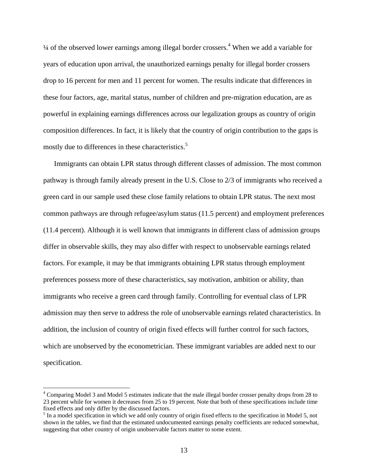$\frac{1}{4}$  of the observed lower earnings among illegal border crossers.<sup>4</sup> When we add a variable for years of education upon arrival, the unauthorized earnings penalty for illegal border crossers drop to 16 percent for men and 11 percent for women. The results indicate that differences in these four factors, age, marital status, number of children and pre-migration education, are as powerful in explaining earnings differences across our legalization groups as country of origin composition differences. In fact, it is likely that the country of origin contribution to the gaps is mostly due to differences in these characteristics.<sup>5</sup>

Immigrants can obtain LPR status through different classes of admission. The most common pathway is through family already present in the U.S. Close to 2/3 of immigrants who received a green card in our sample used these close family relations to obtain LPR status. The next most common pathways are through refugee/asylum status (11.5 percent) and employment preferences (11.4 percent). Although it is well known that immigrants in different class of admission groups differ in observable skills, they may also differ with respect to unobservable earnings related factors. For example, it may be that immigrants obtaining LPR status through employment preferences possess more of these characteristics, say motivation, ambition or ability, than immigrants who receive a green card through family. Controlling for eventual class of LPR admission may then serve to address the role of unobservable earnings related characteristics. In addition, the inclusion of country of origin fixed effects will further control for such factors, which are unobserved by the econometrician. These immigrant variables are added next to our specification.

<sup>&</sup>lt;sup>4</sup> Comparing Model 3 and Model 5 estimates indicate that the male illegal border crosser penalty drops from 28 to 23 percent while for women it decreases from 25 to 19 percent. Note that both of these specifications include time fixed effects and only differ by the discussed factors.

<sup>&</sup>lt;sup>5</sup> In a model specification in which we add only country of origin fixed effects to the specification in Model 5, not shown in the tables, we find that the estimated undocumented earnings penalty coefficients are reduced somewhat, suggesting that other country of origin unobservable factors matter to some extent.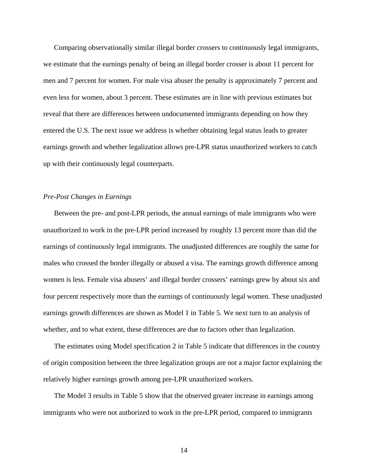Comparing observationally similar illegal border crossers to continuously legal immigrants, we estimate that the earnings penalty of being an illegal border crosser is about 11 percent for men and 7 percent for women. For male visa abuser the penalty is approximately 7 percent and even less for women, about 3 percent. These estimates are in line with previous estimates but reveal that there are differences between undocumented immigrants depending on how they entered the U.S. The next issue we address is whether obtaining legal status leads to greater earnings growth and whether legalization allows pre-LPR status unauthorized workers to catch up with their continuously legal counterparts.

#### *Pre-Post Changes in Earnings*

Between the pre- and post-LPR periods, the annual earnings of male immigrants who were unauthorized to work in the pre-LPR period increased by roughly 13 percent more than did the earnings of continuously legal immigrants. The unadjusted differences are roughly the same for males who crossed the border illegally or abused a visa. The earnings growth difference among women is less. Female visa abusers' and illegal border crossers' earnings grew by about six and four percent respectively more than the earnings of continuously legal women. These unadjusted earnings growth differences are shown as Model 1 in Table 5. We next turn to an analysis of whether, and to what extent, these differences are due to factors other than legalization.

The estimates using Model specification 2 in Table 5 indicate that differences in the country of origin composition between the three legalization groups are not a major factor explaining the relatively higher earnings growth among pre-LPR unauthorized workers.

The Model 3 results in Table 5 show that the observed greater increase in earnings among immigrants who were not authorized to work in the pre-LPR period, compared to immigrants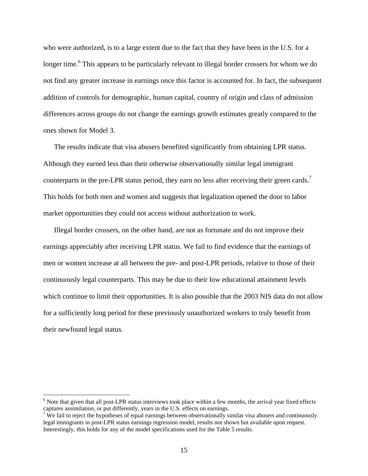who were authorized, is to a large extent due to the fact that they have been in the U.S. for a longer time.<sup>6</sup> This appears to be particularly relevant to illegal border crossers for whom we do not find any greater increase in earnings once this factor is accounted for. In fact, the subsequent addition of controls for demographic, human capital, country of origin and class of admission differences across groups do not change the earnings growth estimates greatly compared to the ones shown for Model 3.

The results indicate that visa abusers benefited significantly from obtaining LPR status. Although they earned less than their otherwise observationally similar legal immigrant counterparts in the pre-LPR status period, they earn no less after receiving their green cards.<sup>7</sup> This holds for both men and women and suggests that legalization opened the door to labor market opportunities they could not access without authorization to work.

Illegal border crossers, on the other hand, are not as fortunate and do not improve their earnings appreciably after receiving LPR status. We fail to find evidence that the earnings of men or women increase at all between the pre- and post-LPR periods, relative to those of their continuously legal counterparts. This may be due to their low educational attainment levels which continue to limit their opportunities. It is also possible that the 2003 NIS data do not allow for a sufficiently long period for these previously unauthorized workers to truly benefit from their newfound legal status.

 $\overline{a}$ 

<sup>&</sup>lt;sup>6</sup> Note that given that all post-LPR status interviews took place within a few months, the arrival year fixed effects captures assimilation, or put differently, years in the U.S. effects on earnings.<br><sup>7</sup> We fail to reject the hypotheses of equal earnings between observationally similar visa abusers and continuously

legal immigrants in post-LPR status earnings regression model, results not shown but available upon request. Interestingly, this holds for any of the model specifications used for the Table 5 results.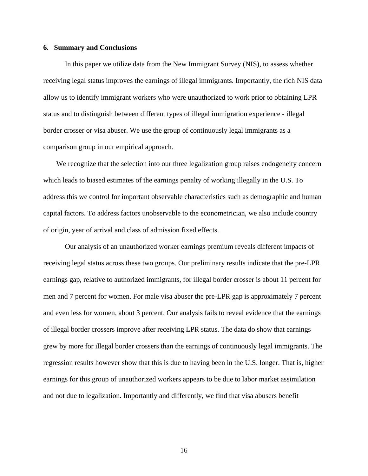#### **6. Summary and Conclusions**

 In this paper we utilize data from the New Immigrant Survey (NIS), to assess whether receiving legal status improves the earnings of illegal immigrants. Importantly, the rich NIS data allow us to identify immigrant workers who were unauthorized to work prior to obtaining LPR status and to distinguish between different types of illegal immigration experience - illegal border crosser or visa abuser. We use the group of continuously legal immigrants as a comparison group in our empirical approach.

We recognize that the selection into our three legalization group raises endogeneity concern which leads to biased estimates of the earnings penalty of working illegally in the U.S. To address this we control for important observable characteristics such as demographic and human capital factors. To address factors unobservable to the econometrician, we also include country of origin, year of arrival and class of admission fixed effects.

 Our analysis of an unauthorized worker earnings premium reveals different impacts of receiving legal status across these two groups. Our preliminary results indicate that the pre-LPR earnings gap, relative to authorized immigrants, for illegal border crosser is about 11 percent for men and 7 percent for women. For male visa abuser the pre-LPR gap is approximately 7 percent and even less for women, about 3 percent. Our analysis fails to reveal evidence that the earnings of illegal border crossers improve after receiving LPR status. The data do show that earnings grew by more for illegal border crossers than the earnings of continuously legal immigrants. The regression results however show that this is due to having been in the U.S. longer. That is, higher earnings for this group of unauthorized workers appears to be due to labor market assimilation and not due to legalization. Importantly and differently, we find that visa abusers benefit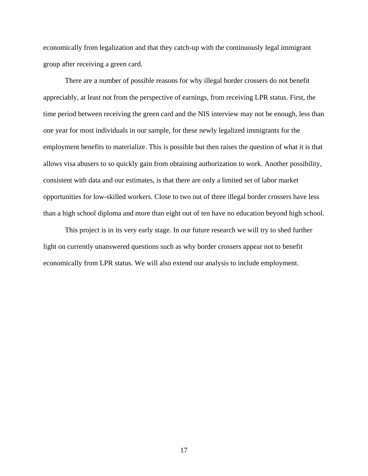economically from legalization and that they catch-up with the continuously legal immigrant group after receiving a green card.

 There are a number of possible reasons for why illegal border crossers do not benefit appreciably, at least not from the perspective of earnings, from receiving LPR status. First, the time period between receiving the green card and the NIS interview may not be enough, less than one year for most individuals in our sample, for these newly legalized immigrants for the employment benefits to materialize. This is possible but then raises the question of what it is that allows visa abusers to so quickly gain from obtaining authorization to work. Another possibility, consistent with data and our estimates, is that there are only a limited set of labor market opportunities for low-skilled workers. Close to two out of three illegal border crossers have less than a high school diploma and more than eight out of ten have no education beyond high school.

 This project is in its very early stage. In our future research we will try to shed further light on currently unanswered questions such as why border crossers appear not to benefit economically from LPR status. We will also extend our analysis to include employment.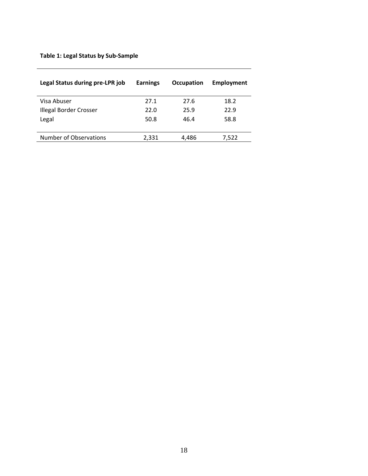### **Table 1: Legal Status by Sub‐Sample**

| Legal Status during pre-LPR job | <b>Earnings</b> | <b>Occupation</b> | <b>Employment</b> |
|---------------------------------|-----------------|-------------------|-------------------|
| Visa Abuser                     | 27.1            | 27.6              | 18.2              |
| Illegal Border Crosser          | 22.0            | 25.9              | 22.9              |
| Legal                           | 50.8            | 46.4              | 58.8              |
| Number of Observations          | 2,331           | 4,486             | 7,522             |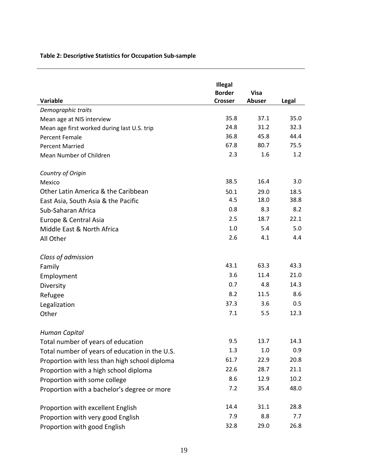### **Table 2: Descriptive Statistics for Occupation Sub‐sample**

|                                                | Illegal        |               |       |
|------------------------------------------------|----------------|---------------|-------|
|                                                | <b>Border</b>  | <b>Visa</b>   |       |
| Variable                                       | <b>Crosser</b> | <b>Abuser</b> | Legal |
| Demographic traits                             |                |               |       |
| Mean age at NIS interview                      | 35.8           | 37.1          | 35.0  |
| Mean age first worked during last U.S. trip    | 24.8           | 31.2          | 32.3  |
| <b>Percent Female</b>                          | 36.8           | 45.8          | 44.4  |
| <b>Percent Married</b>                         | 67.8           | 80.7          | 75.5  |
| Mean Number of Children                        | 2.3            | 1.6           | 1.2   |
| Country of Origin                              |                |               |       |
| Mexico                                         | 38.5           | 16.4          | 3.0   |
| Other Latin America & the Caribbean            | 50.1           | 29.0          | 18.5  |
| East Asia, South Asia & the Pacific            | 4.5            | 18.0          | 38.8  |
| Sub-Saharan Africa                             | 0.8            | 8.3           | 8.2   |
| Europe & Central Asia                          | 2.5            | 18.7          | 22.1  |
| Middle East & North Africa                     | 1.0            | 5.4           | 5.0   |
| All Other                                      | 2.6            | 4.1           | 4.4   |
| Class of admission                             |                |               |       |
| Family                                         | 43.1           | 63.3          | 43.3  |
| Employment                                     | 3.6            | 11.4          | 21.0  |
| Diversity                                      | 0.7            | 4.8           | 14.3  |
| Refugee                                        | 8.2            | 11.5          | 8.6   |
| Legalization                                   | 37.3           | 3.6           | 0.5   |
| Other                                          | 7.1            | 5.5           | 12.3  |
| Human Capital                                  |                |               |       |
| Total number of years of education             | 9.5            | 13.7          | 14.3  |
| Total number of years of education in the U.S. | 1.3            | 1.0           | 0.9   |
| Proportion with less than high school diploma  | 61.7           | 22.9          | 20.8  |
| Proportion with a high school diploma          | 22.6           | 28.7          | 21.1  |
| Proportion with some college                   | 8.6            | 12.9          | 10.2  |
| Proportion with a bachelor's degree or more    | 7.2            | 35.4          | 48.0  |
| Proportion with excellent English              | 14.4           | 31.1          | 28.8  |
| Proportion with very good English              | 7.9            | 8.8           | 7.7   |
| Proportion with good English                   | 32.8           | 29.0          | 26.8  |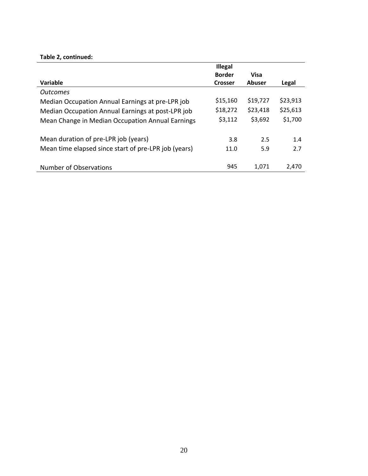### **Table 2, continued:**

|                                                      | <b>Illegal</b> |               |          |
|------------------------------------------------------|----------------|---------------|----------|
|                                                      | <b>Border</b>  | <b>Visa</b>   |          |
| Variable                                             | <b>Crosser</b> | <b>Abuser</b> | Legal    |
| <b>Outcomes</b>                                      |                |               |          |
| Median Occupation Annual Earnings at pre-LPR job     | \$15,160       | \$19,727      | \$23,913 |
| Median Occupation Annual Earnings at post-LPR job    | \$18,272       | \$23,418      | \$25,613 |
| Mean Change in Median Occupation Annual Earnings     | \$3,112        | \$3,692       | \$1,700  |
| Mean duration of pre-LPR job (years)                 | 3.8            | 2.5           | 1.4      |
| Mean time elapsed since start of pre-LPR job (years) | 11.0           | 5.9           | 2.7      |
| Number of Observations                               | 945            | 1.071         | 2.470    |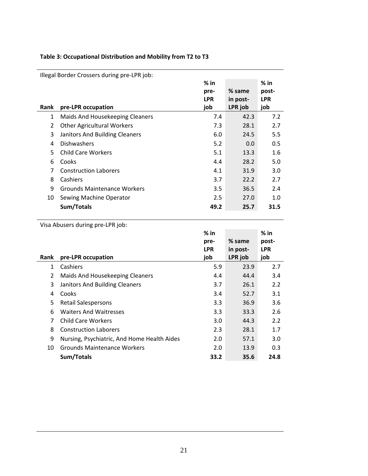### **Table 3: Occupational Distribution and Mobility from T2 to T3**

|                | Illegal Border Crossers during pre-LPR job: |            |          |            |
|----------------|---------------------------------------------|------------|----------|------------|
|                |                                             | $%$ in     |          | $%$ in     |
|                |                                             | pre-       | % same   | post-      |
|                |                                             | <b>LPR</b> | in post- | <b>LPR</b> |
| Rank           | pre-LPR occupation                          | job        | LPR job  | job        |
| 1              | Maids And Housekeeping Cleaners             | 7.4        | 42.3     | 7.2        |
| $\overline{2}$ | <b>Other Agricultural Workers</b>           | 7.3        | 28.1     | 2.7        |
| 3              | Janitors And Building Cleaners              | 6.0        | 24.5     | 5.5        |
| 4              | <b>Dishwashers</b>                          | 5.2        | 0.0      | 0.5        |
| 5              | <b>Child Care Workers</b>                   | 5.1        | 13.3     | 1.6        |
| 6              | Cooks                                       | 4.4        | 28.2     | 5.0        |
| 7              | <b>Construction Laborers</b>                | 4.1        | 31.9     | 3.0        |
| 8              | Cashiers                                    | 3.7        | 22.2     | 2.7        |
| 9              | Grounds Maintenance Workers                 | 3.5        | 36.5     | 2.4        |
| 10             | Sewing Machine Operator                     | 2.5        | 27.0     | 1.0        |
|                | Sum/Totals                                  | 49.2       | 25.7     | 31.5       |

Visa Abusers during pre‐LPR job:

|             |                                             | $%$ in     |          | $%$ in     |
|-------------|---------------------------------------------|------------|----------|------------|
|             |                                             | pre-       | % same   | post-      |
|             |                                             | <b>LPR</b> | in post- | <b>LPR</b> |
| <b>Rank</b> | pre-LPR occupation                          | job        | LPR job  | job        |
| 1           | Cashiers                                    | 5.9        | 23.9     | 2.7        |
| 2           | Maids And Housekeeping Cleaners             | 4.4        | 44.4     | 3.4        |
| 3           | Janitors And Building Cleaners              | 3.7        | 26.1     | 2.2        |
| 4           | Cooks                                       | 3.4        | 52.7     | 3.1        |
| 5           | <b>Retail Salespersons</b>                  | 3.3        | 36.9     | 3.6        |
| 6           | <b>Waiters And Waitresses</b>               | 3.3        | 33.3     | 2.6        |
| 7           | <b>Child Care Workers</b>                   | 3.0        | 44.3     | 2.2        |
| 8           | <b>Construction Laborers</b>                | 2.3        | 28.1     | 1.7        |
| 9           | Nursing, Psychiatric, And Home Health Aides | 2.0        | 57.1     | 3.0        |
| 10          | Grounds Maintenance Workers                 | 2.0        | 13.9     | 0.3        |
|             | Sum/Totals                                  | 33.2       | 35.6     | 24.8       |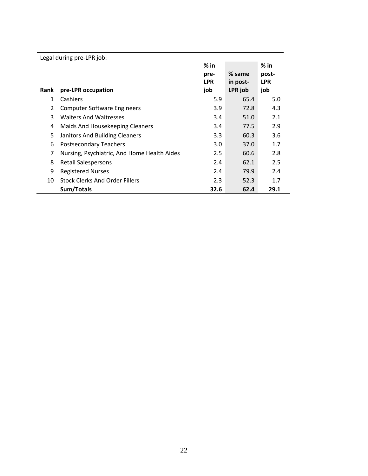|      | Legal during pre-LPR job:                   |            |          |            |
|------|---------------------------------------------|------------|----------|------------|
|      |                                             | $%$ in     |          | $%$ in     |
|      |                                             | pre-       | % same   | post-      |
|      |                                             | <b>LPR</b> | in post- | <b>LPR</b> |
| Rank | pre-LPR occupation                          | job        | LPR job  | job        |
| 1    | Cashiers                                    | 5.9        | 65.4     | 5.0        |
| 2    | <b>Computer Software Engineers</b>          | 3.9        | 72.8     | 4.3        |
| 3    | <b>Waiters And Waitresses</b>               | 3.4        | 51.0     | 2.1        |
| 4    | Maids And Housekeeping Cleaners             | 3.4        | 77.5     | 2.9        |
| 5    | Janitors And Building Cleaners              | 3.3        | 60.3     | 3.6        |
| 6    | <b>Postsecondary Teachers</b>               | 3.0        | 37.0     | 1.7        |
| 7    | Nursing, Psychiatric, And Home Health Aides | 2.5        | 60.6     | 2.8        |
| 8    | <b>Retail Salespersons</b>                  | 2.4        | 62.1     | 2.5        |
| 9    | <b>Registered Nurses</b>                    | 2.4        | 79.9     | 2.4        |
| 10   | <b>Stock Clerks And Order Fillers</b>       | 2.3        | 52.3     | 1.7        |
|      | Sum/Totals                                  | 32.6       | 62.4     | 29.1       |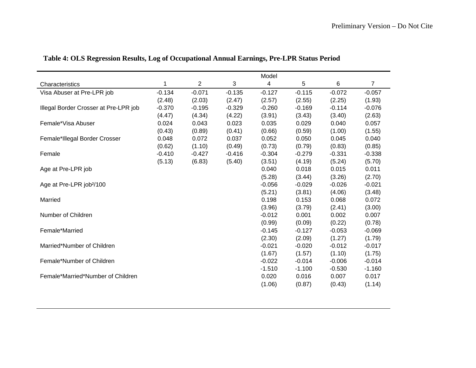|                                       |          |                |          | Model    |          |          |                |
|---------------------------------------|----------|----------------|----------|----------|----------|----------|----------------|
| Characteristics                       | 1        | $\overline{2}$ | 3        | 4        | 5        | 6        | $\overline{7}$ |
| Visa Abuser at Pre-LPR job            | $-0.134$ | $-0.071$       | $-0.135$ | $-0.127$ | $-0.115$ | $-0.072$ | $-0.057$       |
|                                       | (2.48)   | (2.03)         | (2.47)   | (2.57)   | (2.55)   | (2.25)   | (1.93)         |
| Illegal Border Crosser at Pre-LPR job | $-0.370$ | $-0.195$       | $-0.329$ | $-0.260$ | $-0.169$ | $-0.114$ | $-0.076$       |
|                                       | (4.47)   | (4.34)         | (4.22)   | (3.91)   | (3.43)   | (3.40)   | (2.63)         |
| Female*Visa Abuser                    | 0.024    | 0.043          | 0.023    | 0.035    | 0.029    | 0.040    | 0.057          |
|                                       | (0.43)   | (0.89)         | (0.41)   | (0.66)   | (0.59)   | (1.00)   | (1.55)         |
| Female*Illegal Border Crosser         | 0.048    | 0.072          | 0.037    | 0.052    | 0.050    | 0.045    | 0.040          |
|                                       | (0.62)   | (1.10)         | (0.49)   | (0.73)   | (0.79)   | (0.83)   | (0.85)         |
| Female                                | $-0.410$ | $-0.427$       | $-0.416$ | $-0.304$ | $-0.279$ | $-0.331$ | $-0.338$       |
|                                       | (5.13)   | (6.83)         | (5.40)   | (3.51)   | (4.19)   | (5.24)   | (5.70)         |
| Age at Pre-LPR job                    |          |                |          | 0.040    | 0.018    | 0.015    | 0.011          |
|                                       |          |                |          | (5.28)   | (3.44)   | (3.26)   | (2.70)         |
| Age at Pre-LPR job <sup>2</sup> /100  |          |                |          | $-0.056$ | $-0.029$ | $-0.026$ | $-0.021$       |
|                                       |          |                |          | (5.21)   | (3.81)   | (4.06)   | (3.48)         |
| Married                               |          |                |          | 0.198    | 0.153    | 0.068    | 0.072          |
|                                       |          |                |          | (3.96)   | (3.79)   | (2.41)   | (3.00)         |
| Number of Children                    |          |                |          | $-0.012$ | 0.001    | 0.002    | 0.007          |
|                                       |          |                |          | (0.99)   | (0.09)   | (0.22)   | (0.78)         |
| Female*Married                        |          |                |          | $-0.145$ | $-0.127$ | $-0.053$ | $-0.069$       |
|                                       |          |                |          | (2.30)   | (2.09)   | (1.27)   | (1.79)         |
| Married*Number of Children            |          |                |          | $-0.021$ | $-0.020$ | $-0.012$ | $-0.017$       |
|                                       |          |                |          | (1.67)   | (1.57)   | (1.10)   | (1.75)         |
| Female*Number of Children             |          |                |          | $-0.022$ | $-0.014$ | $-0.006$ | $-0.014$       |
|                                       |          |                |          | $-1.510$ | $-1.100$ | $-0.530$ | $-1.160$       |
| Female*Married*Number of Children     |          |                |          | 0.020    | 0.016    | 0.007    | 0.017          |
|                                       |          |                |          | (1.06)   | (0.87)   | (0.43)   | (1.14)         |

# **Table 4: OLS Regression Results, Log of Occupational Annual Earnings, Pre-LPR Status Period**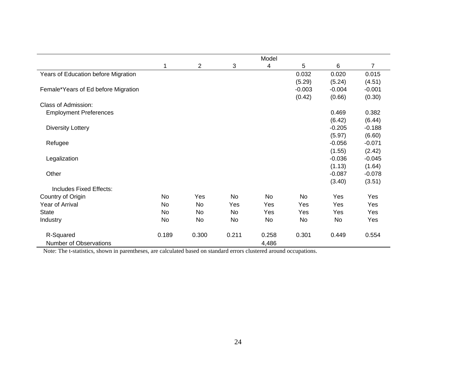|                                     |       |       |           | Model     |           |          |                |
|-------------------------------------|-------|-------|-----------|-----------|-----------|----------|----------------|
|                                     | 1     | 2     | 3         | 4         | 5         | 6        | $\overline{7}$ |
| Years of Education before Migration |       |       |           |           | 0.032     | 0.020    | 0.015          |
|                                     |       |       |           |           | (5.29)    | (5.24)   | (4.51)         |
| Female*Years of Ed before Migration |       |       |           |           | $-0.003$  | $-0.004$ | $-0.001$       |
|                                     |       |       |           |           | (0.42)    | (0.66)   | (0.30)         |
| Class of Admission:                 |       |       |           |           |           |          |                |
| <b>Employment Preferences</b>       |       |       |           |           |           | 0.469    | 0.382          |
|                                     |       |       |           |           |           | (6.42)   | (6.44)         |
| <b>Diversity Lottery</b>            |       |       |           |           |           | $-0.205$ | $-0.188$       |
|                                     |       |       |           |           |           | (5.97)   | (6.60)         |
| Refugee                             |       |       |           |           |           | $-0.056$ | $-0.071$       |
|                                     |       |       |           |           |           | (1.55)   | (2.42)         |
| Legalization                        |       |       |           |           |           | $-0.036$ | $-0.045$       |
|                                     |       |       |           |           |           | (1.13)   | (1.64)         |
| Other                               |       |       |           |           |           | $-0.087$ | $-0.078$       |
|                                     |       |       |           |           |           | (3.40)   | (3.51)         |
| Includes Fixed Effects:             |       |       |           |           |           |          |                |
| Country of Origin                   | No    | Yes   | <b>No</b> | <b>No</b> | <b>No</b> | Yes      | Yes            |
| Year of Arrival                     | No    | No    | Yes       | Yes       | Yes       | Yes      | Yes            |
| <b>State</b>                        | No    | No    | No        | Yes       | Yes       | Yes      | Yes            |
| Industry                            | No    | No    | No        | No        | No        | No       | Yes            |
| R-Squared                           | 0.189 | 0.300 | 0.211     | 0.258     | 0.301     | 0.449    | 0.554          |
| Number of Observations              |       |       |           | 4,486     |           |          |                |

Note: The t-statistics, shown in parentheses, are calculated based on standard errors clustered around occupations.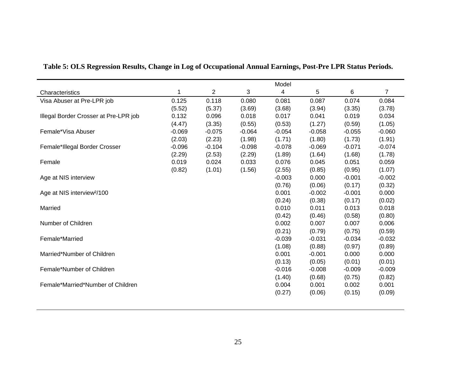|                                        |          |          |          | Model    |          |          |                |
|----------------------------------------|----------|----------|----------|----------|----------|----------|----------------|
| Characteristics                        | 1        | 2        | 3        | 4        | 5        | 6        | $\overline{7}$ |
| Visa Abuser at Pre-LPR job             | 0.125    | 0.118    | 0.080    | 0.081    | 0.087    | 0.074    | 0.084          |
|                                        | (5.52)   | (5.37)   | (3.69)   | (3.68)   | (3.94)   | (3.35)   | (3.78)         |
| Illegal Border Crosser at Pre-LPR job  | 0.132    | 0.096    | 0.018    | 0.017    | 0.041    | 0.019    | 0.034          |
|                                        | (4.47)   | (3.35)   | (0.55)   | (0.53)   | (1.27)   | (0.59)   | (1.05)         |
| Female*Visa Abuser                     | $-0.069$ | $-0.075$ | $-0.064$ | $-0.054$ | $-0.058$ | $-0.055$ | $-0.060$       |
|                                        | (2.03)   | (2.23)   | (1.98)   | (1.71)   | (1.80)   | (1.73)   | (1.91)         |
| Female*Illegal Border Crosser          | $-0.096$ | $-0.104$ | $-0.098$ | $-0.078$ | $-0.069$ | $-0.071$ | $-0.074$       |
|                                        | (2.29)   | (2.53)   | (2.29)   | (1.89)   | (1.64)   | (1.68)   | (1.78)         |
| Female                                 | 0.019    | 0.024    | 0.033    | 0.076    | 0.045    | 0.051    | 0.059          |
|                                        | (0.82)   | (1.01)   | (1.56)   | (2.55)   | (0.85)   | (0.95)   | (1.07)         |
| Age at NIS interview                   |          |          |          | $-0.003$ | 0.000    | $-0.001$ | $-0.002$       |
|                                        |          |          |          | (0.76)   | (0.06)   | (0.17)   | (0.32)         |
| Age at NIS interview <sup>2</sup> /100 |          |          |          | 0.001    | $-0.002$ | $-0.001$ | 0.000          |
|                                        |          |          |          | (0.24)   | (0.38)   | (0.17)   | (0.02)         |
| Married                                |          |          |          | 0.010    | 0.011    | 0.013    | 0.018          |
|                                        |          |          |          | (0.42)   | (0.46)   | (0.58)   | (0.80)         |
| Number of Children                     |          |          |          | 0.002    | 0.007    | 0.007    | 0.006          |
|                                        |          |          |          | (0.21)   | (0.79)   | (0.75)   | (0.59)         |
| Female*Married                         |          |          |          | $-0.039$ | $-0.031$ | $-0.034$ | $-0.032$       |
|                                        |          |          |          | (1.08)   | (0.88)   | (0.97)   | (0.89)         |
| Married*Number of Children             |          |          |          | 0.001    | $-0.001$ | 0.000    | 0.000          |
|                                        |          |          |          | (0.13)   | (0.05)   | (0.01)   | (0.01)         |
| Female*Number of Children              |          |          |          | $-0.016$ | $-0.008$ | $-0.009$ | $-0.009$       |
|                                        |          |          |          | (1.40)   | (0.68)   | (0.75)   | (0.82)         |
| Female*Married*Number of Children      |          |          |          | 0.004    | 0.001    | 0.002    | 0.001          |
|                                        |          |          |          | (0.27)   | (0.06)   | (0.15)   | (0.09)         |
|                                        |          |          |          |          |          |          |                |

| Table 5: OLS Regression Results, Change in Log of Occupational Annual Earnings, Post-Pre LPR Status Periods. |  |  |
|--------------------------------------------------------------------------------------------------------------|--|--|
|                                                                                                              |  |  |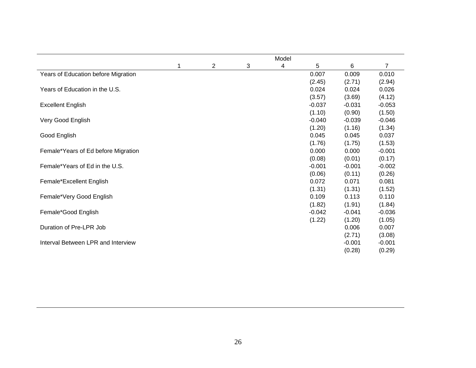|                                     |   |                |   | Model |          |          |          |
|-------------------------------------|---|----------------|---|-------|----------|----------|----------|
|                                     | 1 | $\overline{2}$ | 3 | 4     | 5        | 6        | 7        |
| Years of Education before Migration |   |                |   |       | 0.007    | 0.009    | 0.010    |
|                                     |   |                |   |       | (2.45)   | (2.71)   | (2.94)   |
| Years of Education in the U.S.      |   |                |   |       | 0.024    | 0.024    | 0.026    |
|                                     |   |                |   |       | (3.57)   | (3.69)   | (4.12)   |
| <b>Excellent English</b>            |   |                |   |       | $-0.037$ | $-0.031$ | $-0.053$ |
|                                     |   |                |   |       | (1.10)   | (0.90)   | (1.50)   |
| Very Good English                   |   |                |   |       | $-0.040$ | $-0.039$ | $-0.046$ |
|                                     |   |                |   |       | (1.20)   | (1.16)   | (1.34)   |
| Good English                        |   |                |   |       | 0.045    | 0.045    | 0.037    |
|                                     |   |                |   |       | (1.76)   | (1.75)   | (1.53)   |
| Female*Years of Ed before Migration |   |                |   |       | 0.000    | 0.000    | $-0.001$ |
|                                     |   |                |   |       | (0.08)   | (0.01)   | (0.17)   |
| Female*Years of Ed in the U.S.      |   |                |   |       | $-0.001$ | $-0.001$ | $-0.002$ |
|                                     |   |                |   |       | (0.06)   | (0.11)   | (0.26)   |
| Female*Excellent English            |   |                |   |       | 0.072    | 0.071    | 0.081    |
|                                     |   |                |   |       | (1.31)   | (1.31)   | (1.52)   |
| Female*Very Good English            |   |                |   |       | 0.109    | 0.113    | 0.110    |
|                                     |   |                |   |       | (1.82)   | (1.91)   | (1.84)   |
| Female*Good English                 |   |                |   |       | $-0.042$ | $-0.041$ | $-0.036$ |
|                                     |   |                |   |       | (1.22)   | (1.20)   | (1.05)   |
| Duration of Pre-LPR Job             |   |                |   |       |          | 0.006    | 0.007    |
|                                     |   |                |   |       |          | (2.71)   | (3.08)   |
| Interval Between LPR and Interview  |   |                |   |       |          | $-0.001$ | $-0.001$ |
|                                     |   |                |   |       |          | (0.28)   | (0.29)   |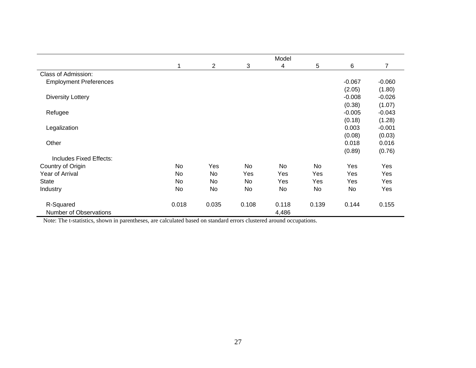|                               | Model |       |           |           |           |          |                |  |
|-------------------------------|-------|-------|-----------|-----------|-----------|----------|----------------|--|
|                               | 1     | 2     | 3         | 4         | 5         | 6        | $\overline{7}$ |  |
| Class of Admission:           |       |       |           |           |           |          |                |  |
| <b>Employment Preferences</b> |       |       |           |           |           | $-0.067$ | $-0.060$       |  |
|                               |       |       |           |           |           | (2.05)   | (1.80)         |  |
| <b>Diversity Lottery</b>      |       |       |           |           |           | $-0.008$ | $-0.026$       |  |
|                               |       |       |           |           |           | (0.38)   | (1.07)         |  |
| Refugee                       |       |       |           |           |           | $-0.005$ | $-0.043$       |  |
|                               |       |       |           |           |           | (0.18)   | (1.28)         |  |
| Legalization                  |       |       |           |           |           | 0.003    | $-0.001$       |  |
|                               |       |       |           |           |           | (0.08)   | (0.03)         |  |
| Other                         |       |       |           |           |           | 0.018    | 0.016          |  |
|                               |       |       |           |           |           | (0.89)   | (0.76)         |  |
| Includes Fixed Effects:       |       |       |           |           |           |          |                |  |
| Country of Origin             | No    | Yes   | <b>No</b> | <b>No</b> | <b>No</b> | Yes      | Yes            |  |
| Year of Arrival               | No    | No    | Yes       | Yes       | Yes       | Yes      | Yes            |  |
| <b>State</b>                  | No    | No.   | No        | Yes       | Yes       | Yes      | Yes            |  |
| Industry                      | No    | No    | No        | No        | No        | No       | Yes            |  |
| R-Squared                     | 0.018 | 0.035 | 0.108     | 0.118     | 0.139     | 0.144    | 0.155          |  |
| Number of Observations        |       |       |           | 4,486     |           |          |                |  |

Note: The t-statistics, shown in parentheses, are calculated based on standard errors clustered around occupations.